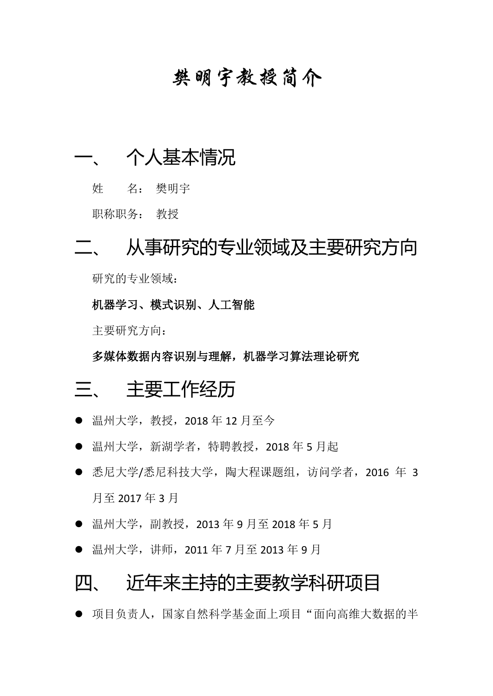## **樊明宇教授简介**

## 一、 个人基本情况

姓 名: 樊明宇

职称职务: 教授

# 二、 从事研究的专业领域及主要研究方向

研究的专业领域:

机器学习、模式识别、人工智能

主要研究方向:

多媒体数据内容识别与理解,机器学习算法理论研究

#### 三、 主要工作经历

- 温州大学, 教授, 2018年12月至今
- 温州大学, 新湖学者, 特聘教授, 2018年5月起
- 悉尼大学/悉尼科技大学, 陶大程课题组, 访问学者, 2016 年 3 月至 2017 年 3 月
- 温州大学, 副教授, 2013年9月至 2018年5月
- 温州大学, 讲师, 2011年7月至 2013年9月

#### 四、 近年来主持的主要教学科研项目

⚫ 项目负责人,国家自然科学基金面上项目"面向高维大数据的半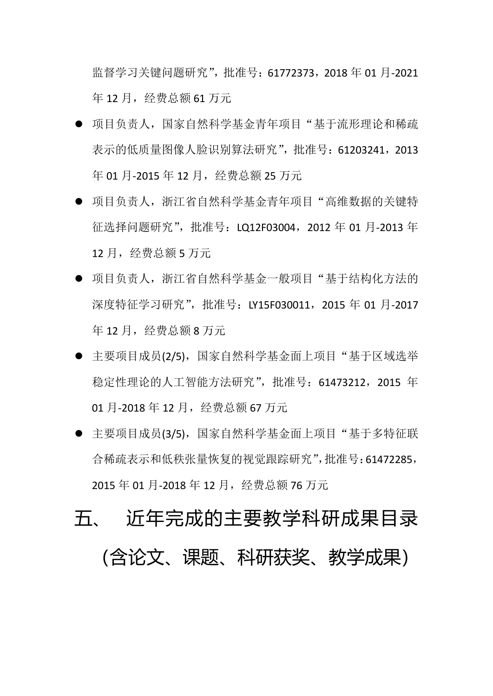监督学习关键问题研究",批准号:61772373,2018 年 01 月-2021 年 12 月,经费总额 61 万元

- 项目负责人, 国家自然科学基金青年项目"基于流形理论和稀疏 表示的低质量图像人脸识别算法研究",批准号:61203241,2013 年 01 月-2015 年 12 月,经费总额 25 万元
- 项目负责人, 浙江省自然科学基金青年项目"高维数据的关键特 征选择问题研究",批准号:LQ12F03004,2012 年 01 月-2013 年 12 月,经费总额 5 万元
- 项目负责人, 浙江省自然科学基金一般项目"基于结构化方法的 深度特征学习研究",批准号: LY15F030011, 2015 年 01 月-2017 年 12 月,经费总额 8 万元
- ▶ 主要项目成员(2/5),国家自然科学基金面上项目"基于区域选举 稳定性理论的人工智能方法研究",批准号: 61473212, 2015 年 01 月-2018 年 12 月,经费总额 67 万元
- · 主要项目成员(3/5), 国家自然科学基金面上项目"基于多特征联 合稀疏表示和低秩张量恢复的视觉跟踪研究",批准号:61472285, 2015 年 01 月-2018 年 12 月,经费总额 76 万元

# 五、 近年完成的主要教学科研成果目录 (含论文、课题、科研获奖、教学成果)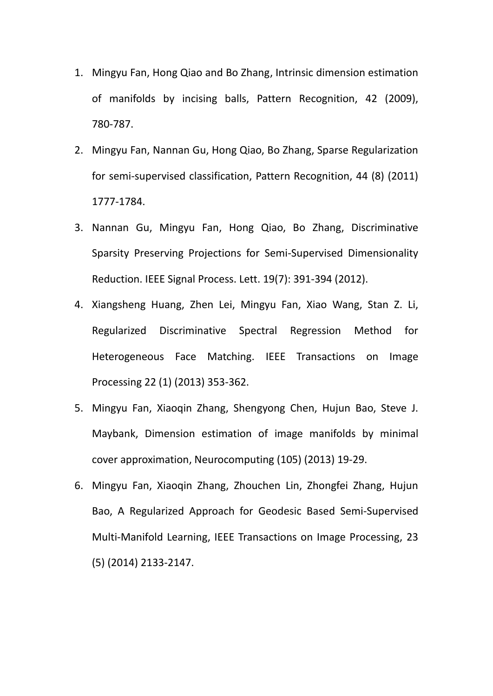- 1. Mingyu Fan, Hong Qiao and Bo Zhang, Intrinsic dimension estimation of manifolds by incising balls, Pattern Recognition, 42 (2009), 780-787.
- 2. Mingyu Fan, Nannan Gu, Hong Qiao, Bo Zhang, Sparse Regularization for semi-supervised classification, Pattern Recognition, 44 (8) (2011) 1777-1784.
- 3. Nannan Gu, Mingyu Fan, Hong Qiao, Bo Zhang, Discriminative Sparsity Preserving Projections for Semi-Supervised Dimensionality Reduction. IEEE Signal Process. Lett. 19(7): 391-394 (2012).
- 4. Xiangsheng Huang, Zhen Lei, Mingyu Fan, Xiao Wang, Stan Z. Li, Regularized Discriminative Spectral Regression Method for Heterogeneous Face Matching. IEEE Transactions on Image Processing 22 (1) (2013) 353-362.
- 5. Mingyu Fan, Xiaoqin Zhang, Shengyong Chen, Hujun Bao, Steve J. Maybank, Dimension estimation of image manifolds by minimal cover approximation, Neurocomputing (105) (2013) 19-29.
- 6. Mingyu Fan, Xiaoqin Zhang, Zhouchen Lin, Zhongfei Zhang, Hujun Bao, A Regularized Approach for Geodesic Based Semi-Supervised Multi-Manifold Learning, IEEE Transactions on Image Processing, 23 (5) (2014) 2133-2147.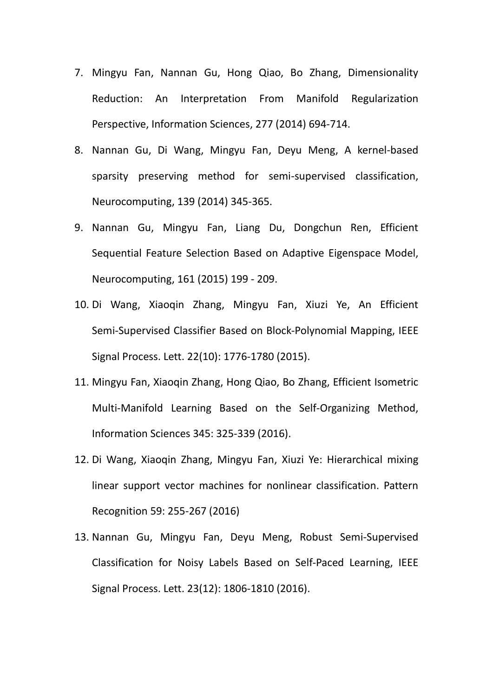- 7. Mingyu Fan, Nannan Gu, Hong Qiao, Bo Zhang, Dimensionality Reduction: An Interpretation From Manifold Regularization Perspective, Information Sciences, 277 (2014) 694-714.
- 8. Nannan Gu, Di Wang, Mingyu Fan, Deyu Meng, A kernel-based sparsity preserving method for semi-supervised classification, Neurocomputing, 139 (2014) 345-365.
- 9. Nannan Gu, Mingyu Fan, Liang Du, Dongchun Ren, Efficient Sequential Feature Selection Based on Adaptive Eigenspace Model, Neurocomputing, 161 (2015) 199 - 209.
- 10. Di Wang, Xiaoqin Zhang, Mingyu Fan, Xiuzi Ye, An Efficient Semi-Supervised Classifier Based on Block-Polynomial Mapping, IEEE Signal Process. Lett. 22(10): 1776-1780 (2015).
- 11. Mingyu Fan, Xiaoqin Zhang, Hong Qiao, Bo Zhang, Efficient Isometric Multi-Manifold Learning Based on the Self-Organizing Method, Information Sciences 345: 325-339 (2016).
- 12. Di Wang, Xiaoqin Zhang, Mingyu Fan, Xiuzi Ye: Hierarchical mixing linear support vector machines for nonlinear classification. Pattern Recognition 59: 255-267 (2016)
- 13. Nannan Gu, Mingyu Fan, Deyu Meng, Robust Semi-Supervised Classification for Noisy Labels Based on Self-Paced Learning, IEEE Signal Process. Lett. 23(12): 1806-1810 (2016).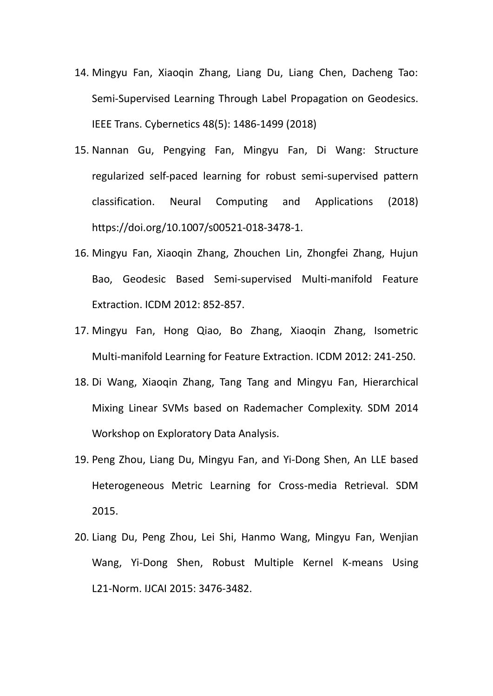- 14. Mingyu Fan, Xiaoqin Zhang, Liang Du, Liang Chen, Dacheng Tao: Semi-Supervised Learning Through Label Propagation on Geodesics. IEEE Trans. Cybernetics 48(5): 1486-1499 (2018)
- 15. Nannan Gu, Pengying Fan, Mingyu Fan, Di Wang: Structure regularized self-paced learning for robust semi-supervised pattern classification. Neural Computing and Applications (2018) [https://doi.org/10.1007/s00521-018-3478-1.](https://doi.org/10.1007/s00521-018-3478-1)
- 16. Mingyu Fan, Xiaoqin Zhang, Zhouchen Lin, Zhongfei Zhang, Hujun Bao, Geodesic Based Semi-supervised Multi-manifold Feature Extraction. ICDM 2012: 852-857.
- 17. Mingyu Fan, Hong Qiao, Bo Zhang, Xiaoqin Zhang, Isometric Multi-manifold Learning for Feature Extraction. ICDM 2012: 241-250.
- 18. Di Wang, Xiaoqin Zhang, Tang Tang and Mingyu Fan, Hierarchical Mixing Linear SVMs based on Rademacher Complexity. SDM 2014 Workshop on Exploratory Data Analysis.
- 19. Peng Zhou, Liang Du, Mingyu Fan, and Yi-Dong Shen, An LLE based Heterogeneous Metric Learning for Cross-media Retrieval. SDM 2015.
- 20. Liang Du, Peng Zhou, Lei Shi, Hanmo Wang, Mingyu Fan, Wenjian Wang, Yi-Dong Shen, Robust Multiple Kernel K-means Using L21-Norm. IJCAI 2015: 3476-3482.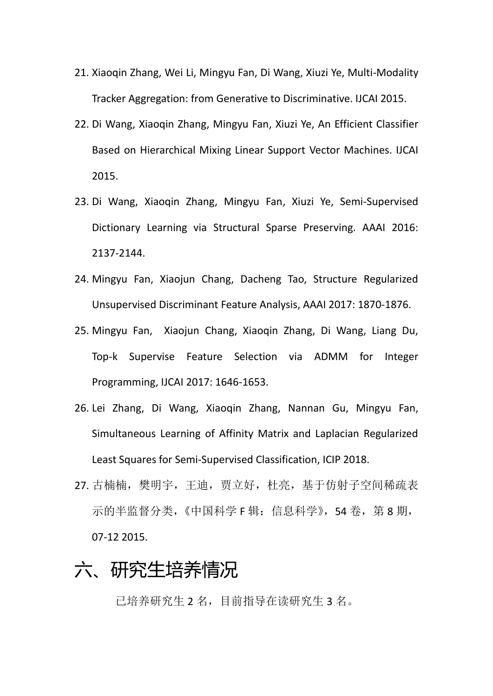- 21. Xiaoqin Zhang, Wei Li, Mingyu Fan, Di Wang, Xiuzi Ye, Multi-Modality Tracker Aggregation: from Generative to Discriminative. IJCAI 2015.
- 22. Di Wang, Xiaoqin Zhang, Mingyu Fan, Xiuzi Ye, An Efficient Classifier Based on Hierarchical Mixing Linear Support Vector Machines. IJCAI 2015.
- 23. Di Wang, Xiaoqin Zhang, Mingyu Fan, Xiuzi Ye, Semi-Supervised Dictionary Learning via Structural Sparse Preserving. AAAI 2016: 2137-2144.
- 24. Mingyu Fan, Xiaojun Chang, Dacheng Tao, Structure Regularized Unsupervised Discriminant Feature Analysis, AAAI 2017: 1870-1876.
- 25. Mingyu Fan, Xiaojun Chang, Xiaoqin Zhang, Di Wang, Liang Du, Top-k Supervise Feature Selection via ADMM for Integer Programming, IJCAI 2017: 1646-1653.
- 26. Lei Zhang, Di Wang, Xiaoqin Zhang, Nannan Gu, Mingyu Fan, Simultaneous Learning of Affinity Matrix and Laplacian Regularized Least Squares for Semi-Supervised Classification, ICIP 2018.
- 27. 古楠楠,樊明宇,王迪,贾立好,杜亮,基于仿射子空间稀疏表 示的半监督分类, 《中国科学 F 辑: 信息科学》, 54 卷, 第 8 期, 07-12 2015.

# 六、研究生培养情况

已培养研究生 2 名,目前指导在读研究生 3 名。